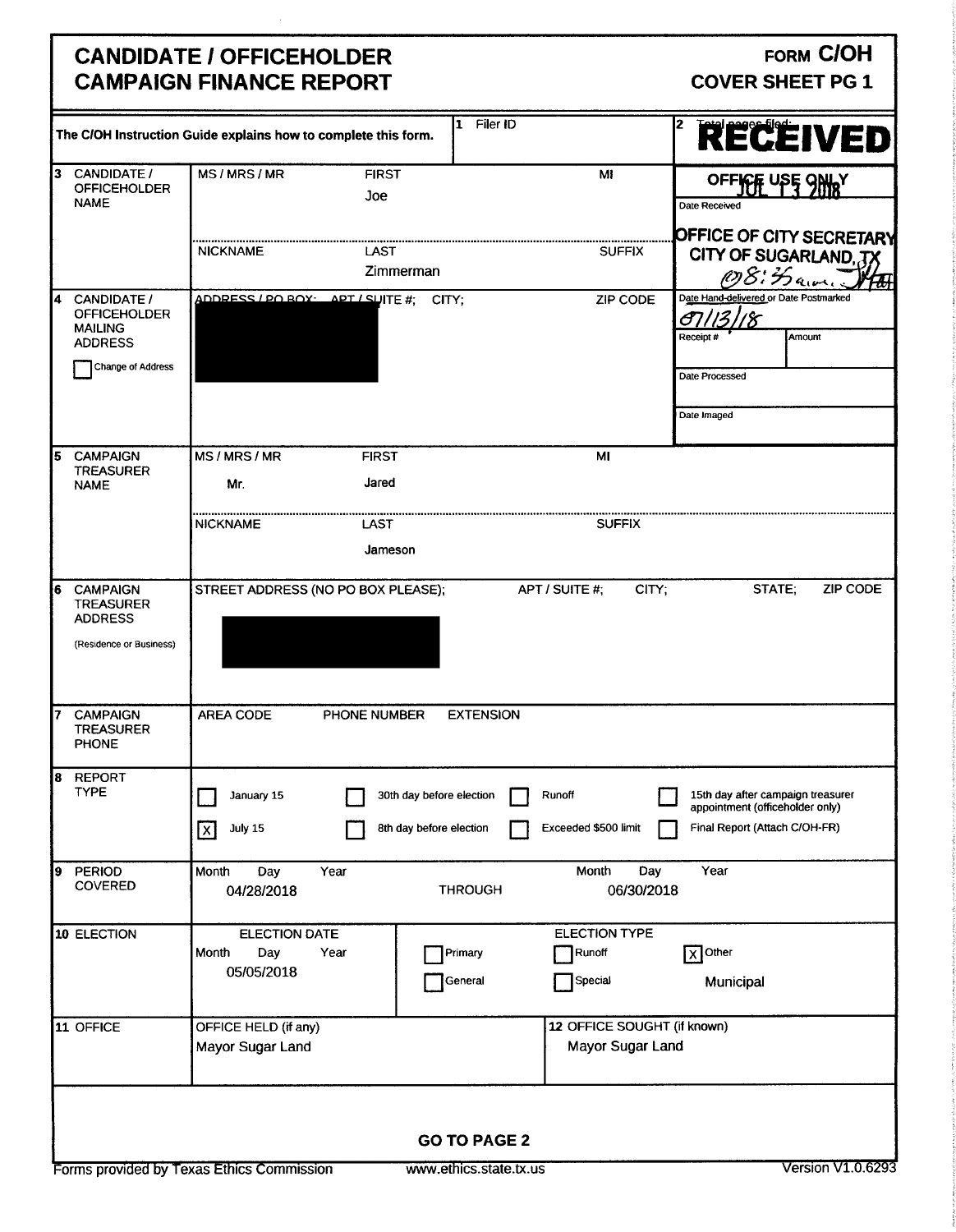## CANDIDATE / OFFICEHOLDER<br>
CAMPAIGN FINANCE REPORT CAMPAIGN FINANCE REPORT **CAMPAIGN FINANCE REPORT**

|                                                                                                  | The C/OH Instruction Guide explains how to complete this form. |                       | Filer ID<br>1                                       |                |                                                 | 2<br>RECEIVED                                                                                         |
|--------------------------------------------------------------------------------------------------|----------------------------------------------------------------|-----------------------|-----------------------------------------------------|----------------|-------------------------------------------------|-------------------------------------------------------------------------------------------------------|
| 13<br><b>CANDIDATE /</b><br><b>OFFICEHOLDER</b><br><b>NAME</b>                                   | MS/MRS/MR                                                      | <b>FIRST</b><br>Joe   |                                                     |                | MI                                              | OFFICE USE SHIRT<br>Date Received                                                                     |
|                                                                                                  | <b>NICKNAME</b>                                                | LAST<br>Zimmerman     |                                                     |                | <b>SUFFIX</b>                                   | OFFICE OF CITY SECRETARY<br>CITY OF SUGARLAND, JX<br>OS: Haven<br>$\frac{d}{d}$                       |
| CANDIDATE /<br>4<br><b>OFFICEHOLDER</b><br><b>MAILING</b><br><b>ADDRESS</b><br>Change of Address | ADDRESS / PO ROX: APT / SUITE #;                               |                       | CITY;                                               |                | ZIP CODE                                        | Date Hand-delivered or Date Postmarked<br>A<br>Amount<br>Receipt #                                    |
|                                                                                                  |                                                                |                       |                                                     |                |                                                 | Date Processed<br>Date Imaged                                                                         |
| <b>CAMPAIGN</b><br>15<br><b>TREASURER</b><br><b>NAME</b>                                         | MS/MRS/MR<br>Mr.                                               | <b>FIRST</b><br>Jared |                                                     |                | MI                                              |                                                                                                       |
|                                                                                                  | <b>NICKNAME</b>                                                | LAST<br>Jameson       |                                                     |                | <b>SUFFIX</b>                                   |                                                                                                       |
| <b>CAMPAIGN</b><br>6<br><b>TREASURER</b><br><b>ADDRESS</b><br>(Residence or Business)            | STREET ADDRESS (NO PO BOX PLEASE);                             |                       |                                                     | APT / SUITE #: | CITY:                                           | STATE;<br><b>ZIP CODE</b>                                                                             |
| <b>CAMPAIGN</b><br><b>TREASURER</b><br><b>PHONE</b>                                              | AREA CODE                                                      | PHONE NUMBER          | <b>EXTENSION</b>                                    |                |                                                 |                                                                                                       |
| <b>REPORT</b><br>8<br><b>TYPE</b>                                                                | January 15<br>July 15<br>$\overline{\mathsf{x}}$               |                       | 30th day before election<br>8th day before election | Runoff         | Exceeded \$500 limit                            | 15th day after campaign treasurer<br>appointment (officeholder only)<br>Final Report (Attach C/OH-FR) |
| PERIOD<br>Ι9<br><b>COVERED</b>                                                                   | Month<br>Day<br>04/28/2018                                     | Year                  | <b>THROUGH</b>                                      |                | Month<br>Day<br>06/30/2018                      | Year                                                                                                  |
| 10 ELECTION                                                                                      | <b>ELECTION DATE</b><br>Month<br>Day<br>05/05/2018             | Year                  | Primary<br>General                                  |                | <b>ELECTION TYPE</b><br>Runoff<br>Special       | $\sqrt{X}$ Other<br>Municipal                                                                         |
| 11 OFFICE                                                                                        | OFFICE HELD (if any)<br>Mayor Sugar Land                       |                       |                                                     |                | 12 OFFICE SOUGHT (if known)<br>Mayor Sugar Land |                                                                                                       |
|                                                                                                  |                                                                |                       | <b>GO TO PAGE 2</b>                                 |                |                                                 |                                                                                                       |
|                                                                                                  | Forms provided by Texas Ethics Commission                      |                       | www.ethics.state.tx.us                              |                |                                                 | <b>Version V1.0.6293</b>                                                                              |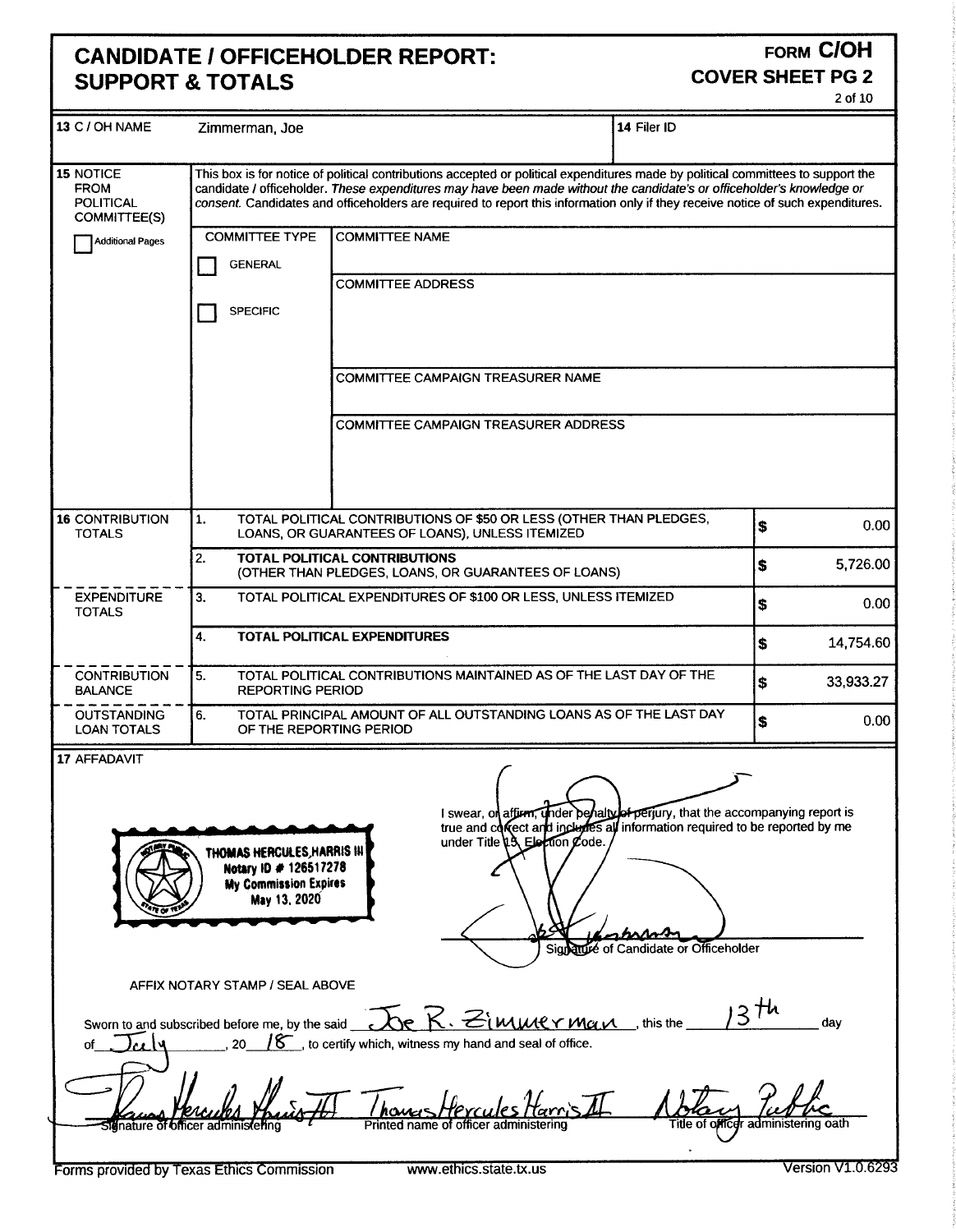## CANDIDATE / OFFICEHOLDER REPORT:<br>SUPPORT & TOTALS **SUPPORT & TOTALS**

# 2 of 10

| 13 C / OH NAME                                               | Zimmerman, Joe                                                                                                              |                                                                                                                                                                                                                                                                                                                                                                                               | 14 Filer ID                                                                        |                                                                 |  |  |  |
|--------------------------------------------------------------|-----------------------------------------------------------------------------------------------------------------------------|-----------------------------------------------------------------------------------------------------------------------------------------------------------------------------------------------------------------------------------------------------------------------------------------------------------------------------------------------------------------------------------------------|------------------------------------------------------------------------------------|-----------------------------------------------------------------|--|--|--|
| 15 NOTICE<br><b>FROM</b><br><b>POLITICAL</b><br>COMMITTEE(S) |                                                                                                                             | This box is for notice of political contributions accepted or political expenditures made by political committees to support the<br>candidate / officeholder. These expenditures may have been made without the candidate's or officeholder's knowledge or<br>consent. Candidates and officeholders are required to report this information only if they receive notice of such expenditures. |                                                                                    |                                                                 |  |  |  |
| <b>Additional Pages</b>                                      | <b>COMMITTEE TYPE</b>                                                                                                       | <b>COMMITTEE NAME</b>                                                                                                                                                                                                                                                                                                                                                                         |                                                                                    |                                                                 |  |  |  |
|                                                              | <b>GENERAL</b>                                                                                                              |                                                                                                                                                                                                                                                                                                                                                                                               |                                                                                    |                                                                 |  |  |  |
|                                                              |                                                                                                                             | <b>COMMITTEE ADDRESS</b>                                                                                                                                                                                                                                                                                                                                                                      |                                                                                    |                                                                 |  |  |  |
|                                                              | <b>SPECIFIC</b>                                                                                                             |                                                                                                                                                                                                                                                                                                                                                                                               |                                                                                    |                                                                 |  |  |  |
|                                                              |                                                                                                                             | COMMITTEE CAMPAIGN TREASURER NAME                                                                                                                                                                                                                                                                                                                                                             |                                                                                    |                                                                 |  |  |  |
|                                                              |                                                                                                                             | <b>COMMITTEE CAMPAIGN TREASURER ADDRESS</b>                                                                                                                                                                                                                                                                                                                                                   |                                                                                    |                                                                 |  |  |  |
| 16 CONTRIBUTION<br><b>TOTALS</b>                             | TOTAL POLITICAL CONTRIBUTIONS OF \$50 OR LESS (OTHER THAN PLEDGES,<br>1.<br>LOANS, OR GUARANTEES OF LOANS), UNLESS ITEMIZED |                                                                                                                                                                                                                                                                                                                                                                                               |                                                                                    |                                                                 |  |  |  |
|                                                              | 2.                                                                                                                          | TOTAL POLITICAL CONTRIBUTIONS<br>(OTHER THAN PLEDGES, LOANS, OR GUARANTEES OF LOANS)                                                                                                                                                                                                                                                                                                          |                                                                                    | 5,726.00<br>\$                                                  |  |  |  |
| <b>EXPENDITURE</b><br><b>TOTALS</b>                          | TOTAL POLITICAL EXPENDITURES OF \$100 OR LESS, UNLESS ITEMIZED<br>3.                                                        |                                                                                                                                                                                                                                                                                                                                                                                               |                                                                                    |                                                                 |  |  |  |
|                                                              | 4.                                                                                                                          | TOTAL POLITICAL EXPENDITURES                                                                                                                                                                                                                                                                                                                                                                  |                                                                                    | <b>S</b><br>14,754.60                                           |  |  |  |
| <b>CONTRIBUTION</b><br><b>BALANCE</b>                        | 5.<br><b>REPORTING PERIOD</b>                                                                                               | TOTAL POLITICAL CONTRIBUTIONS MAINTAINED AS OF THE LAST DAY OF THE                                                                                                                                                                                                                                                                                                                            |                                                                                    | S.<br>33,933.27                                                 |  |  |  |
| <b>OUTSTANDING</b><br><b>LOAN TOTALS</b>                     | 6.<br>OF THE REPORTING PERIOD                                                                                               | TOTAL PRINCIPAL AMOUNT OF ALL OUTSTANDING LOANS AS OF THE LAST DAY                                                                                                                                                                                                                                                                                                                            |                                                                                    | 0.00<br>\$                                                      |  |  |  |
| 17 AFFADAVIT                                                 | THOMAS HERCULES, HARRIS III<br>Notary ID # 126517278<br><b>My Commission Expires</b><br>May 13, 2020                        | I swear, on<br>true and covect and includes all information required to be reported by me<br>under Title $13$ , Election Code.                                                                                                                                                                                                                                                                | perjury, that the accompanying report is<br>Signature of Candidate or Officeholder |                                                                 |  |  |  |
|                                                              | AFFIX NOTARY STAMP / SEAL ABOVE                                                                                             | Sworn to and subscribed before me, by the said $\overline{\mathcal{C}}$ $\overline{\mathsf{K}}$ $\cdot$ $\mathcal{Z}$ $\overline{\mathsf{M}}$ $\mathcal{M}$ $\mathcal{C}$ $\gamma$ $\mathcal{M}$ $\gamma$ $\gamma$ this the                                                                                                                                                                   | $3$ th                                                                             | day                                                             |  |  |  |
| σf                                                           | 20<br>Sidnature of officer administering<br>Forms provided by Texas Ethics Commission                                       | $18$ , to certify which, witness my hand and seal of office.<br>Printed name of officer administering<br>www.ethics.state.tx.us                                                                                                                                                                                                                                                               |                                                                                    | Title of officer administering oath<br><b>Version V1.0.6293</b> |  |  |  |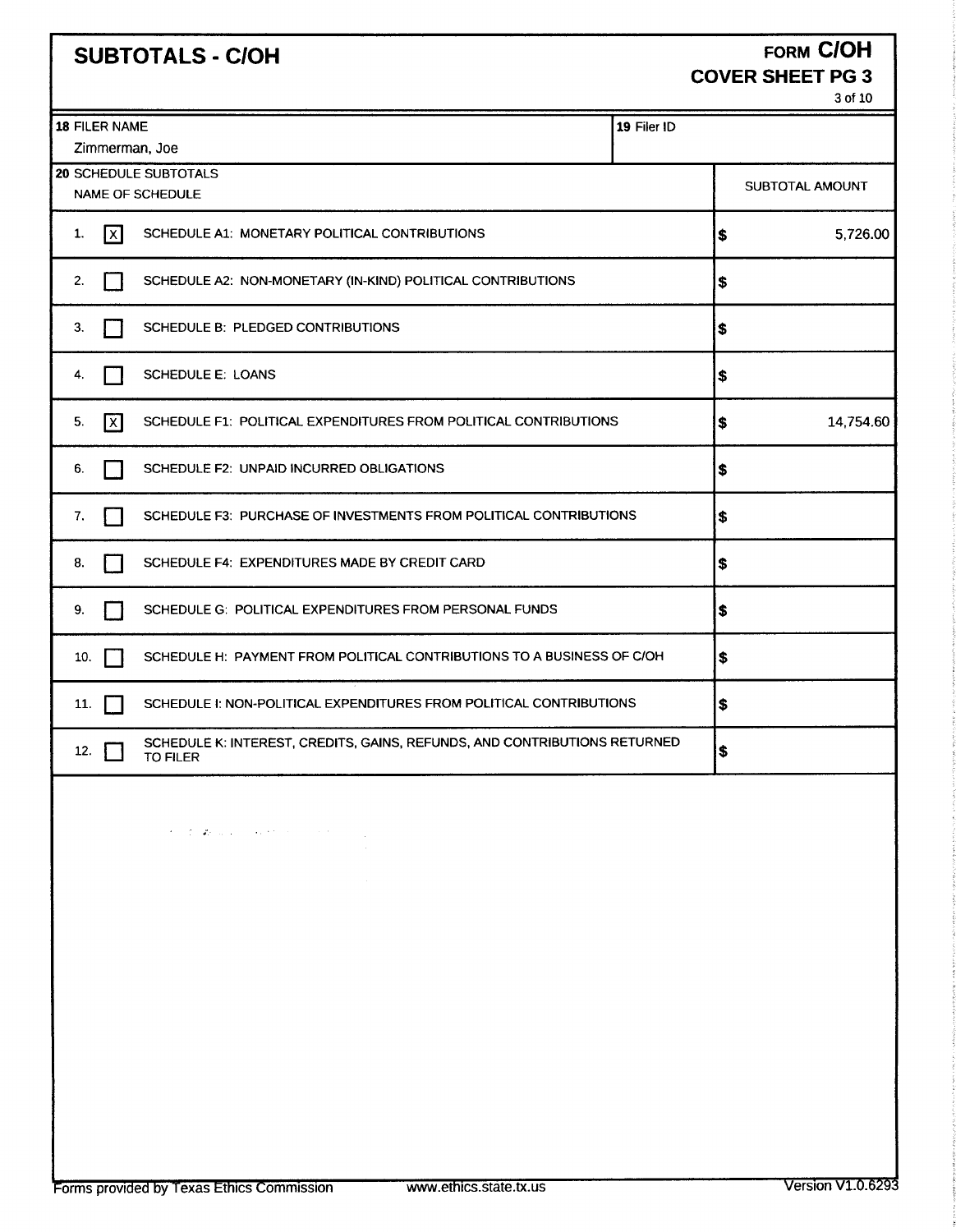|                                 | <b>SUBTOTALS - C/OH</b>                                                                                                                                                                                                                                                                                                                                                                                                                                                                                                                               |             | <b>COVER SHEET PG 3</b> | <b>FORM CIOH</b><br>3 of 10 |  |  |  |  |
|---------------------------------|-------------------------------------------------------------------------------------------------------------------------------------------------------------------------------------------------------------------------------------------------------------------------------------------------------------------------------------------------------------------------------------------------------------------------------------------------------------------------------------------------------------------------------------------------------|-------------|-------------------------|-----------------------------|--|--|--|--|
| 18 FILER NAME<br>Zimmerman, Joe |                                                                                                                                                                                                                                                                                                                                                                                                                                                                                                                                                       | 19 Filer ID |                         |                             |  |  |  |  |
|                                 | 20 SCHEDULE SUBTOTALS<br>NAME OF SCHEDULE                                                                                                                                                                                                                                                                                                                                                                                                                                                                                                             |             |                         |                             |  |  |  |  |
| 1.<br> x                        | SCHEDULE A1: MONETARY POLITICAL CONTRIBUTIONS                                                                                                                                                                                                                                                                                                                                                                                                                                                                                                         |             |                         |                             |  |  |  |  |
| 2.                              | SCHEDULE A2: NON-MONETARY (IN-KIND) POLITICAL CONTRIBUTIONS                                                                                                                                                                                                                                                                                                                                                                                                                                                                                           |             |                         |                             |  |  |  |  |
| 3.                              | SCHEDULE B: PLEDGED CONTRIBUTIONS                                                                                                                                                                                                                                                                                                                                                                                                                                                                                                                     |             | \$                      |                             |  |  |  |  |
| 4.                              | <b>SCHEDULE E: LOANS</b>                                                                                                                                                                                                                                                                                                                                                                                                                                                                                                                              |             | \$                      |                             |  |  |  |  |
| 5.<br>$\mathsf{X}$              | SCHEDULE F1: POLITICAL EXPENDITURES FROM POLITICAL CONTRIBUTIONS                                                                                                                                                                                                                                                                                                                                                                                                                                                                                      |             | \$                      | 14,754.60                   |  |  |  |  |
| 6.                              | SCHEDULE F2: UNPAID INCURRED OBLIGATIONS                                                                                                                                                                                                                                                                                                                                                                                                                                                                                                              |             | \$                      |                             |  |  |  |  |
| 7.                              | SCHEDULE F3: PURCHASE OF INVESTMENTS FROM POLITICAL CONTRIBUTIONS                                                                                                                                                                                                                                                                                                                                                                                                                                                                                     |             | \$                      |                             |  |  |  |  |
| 8.                              | SCHEDULE F4: EXPENDITURES MADE BY CREDIT CARD                                                                                                                                                                                                                                                                                                                                                                                                                                                                                                         |             | \$                      |                             |  |  |  |  |
| 9.                              | SCHEDULE G: POLITICAL EXPENDITURES FROM PERSONAL FUNDS                                                                                                                                                                                                                                                                                                                                                                                                                                                                                                |             |                         |                             |  |  |  |  |
| 10.                             | SCHEDULE H: PAYMENT FROM POLITICAL CONTRIBUTIONS TO A BUSINESS OF C/OH                                                                                                                                                                                                                                                                                                                                                                                                                                                                                |             | \$                      |                             |  |  |  |  |
| 11.                             | SCHEDULE 1: NON-POLITICAL EXPENDITURES FROM POLITICAL CONTRIBUTIONS                                                                                                                                                                                                                                                                                                                                                                                                                                                                                   |             | \$                      |                             |  |  |  |  |
| 12.<br>TO FILER                 | SCHEDULE K: INTEREST, CREDITS, GAINS, REFUNDS, AND CONTRIBUTIONS RETURNED                                                                                                                                                                                                                                                                                                                                                                                                                                                                             |             | 5                       |                             |  |  |  |  |
|                                 | $\label{eq:2} \mathcal{F} = \mathcal{F} \circ \mathcal{F} \circ \mathcal{F} \circ \mathcal{F} \circ \mathcal{F} \circ \mathcal{F} \circ \mathcal{F} \circ \mathcal{F} \circ \mathcal{F} \circ \mathcal{F} \circ \mathcal{F} \circ \mathcal{F} \circ \mathcal{F} \circ \mathcal{F} \circ \mathcal{F} \circ \mathcal{F} \circ \mathcal{F} \circ \mathcal{F} \circ \mathcal{F} \circ \mathcal{F} \circ \mathcal{F} \circ \mathcal{F} \circ \mathcal{F} \circ \mathcal{F} \circ \mathcal{F} \circ \mathcal{F}$<br><b>Contract</b><br>and the state of the |             |                         |                             |  |  |  |  |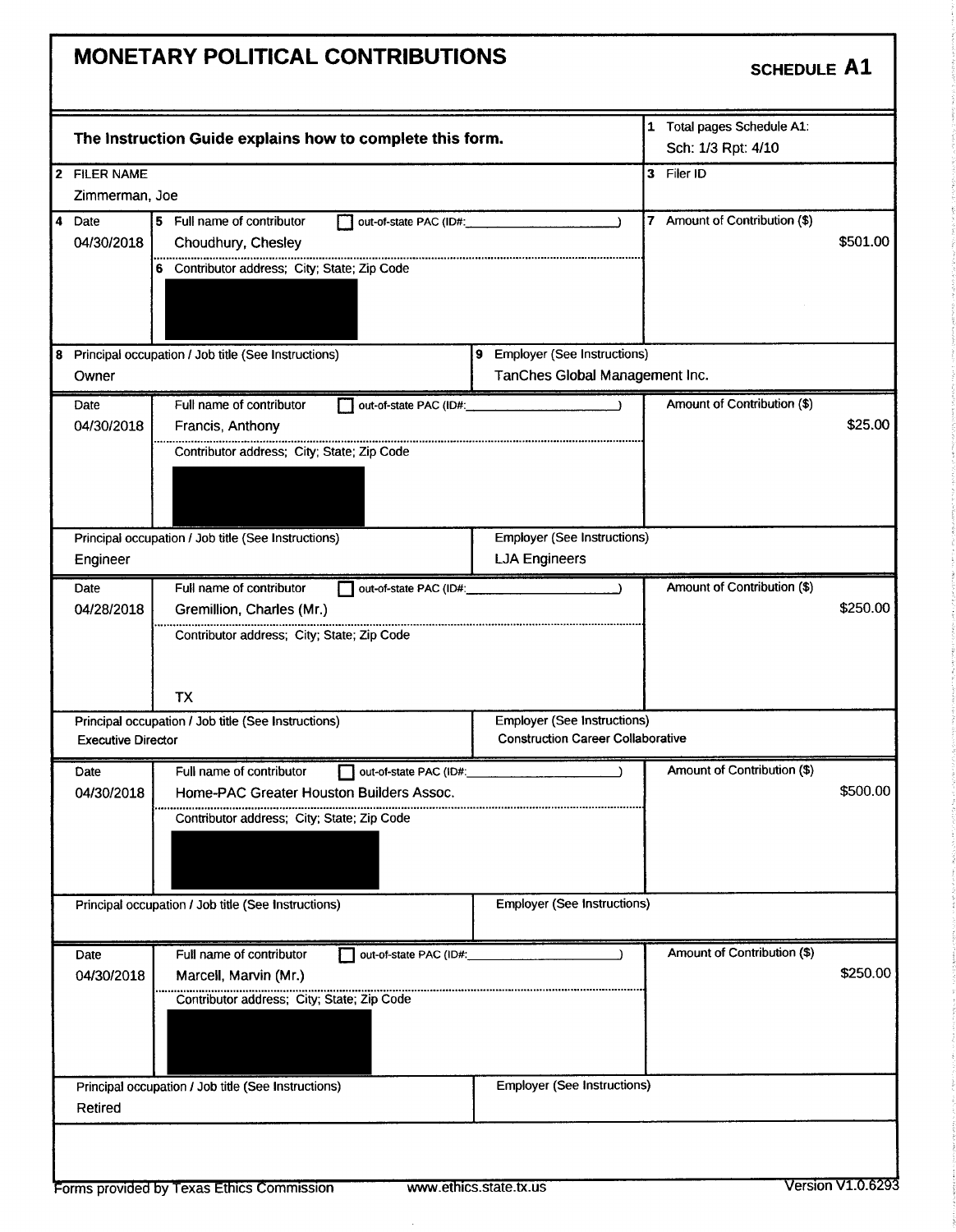## MONETARY POLITICAL CONTRIBUTIONS SCHEDULE A1 1 Total pages Schedule A1: The Instruction Guide explains how to complete this form. Sch: 1/3 Rpt: 4/10 2 FILER NAME 3 Filer ID Zimmerman, Joe 4 Date 5 Full name of contributor and out-of-state PAC (ID#: 7 Amount of Contribution (\$) 04/30/2018 Choudhury, Chesley 501.00 6 Contributor address; City; State; Zip Code 8 Principal occupation / Job title (See Instructions) 9 Employer (See Instructions) Owner **Tanches Global Management Inc.** Tanches Global Management Inc. Date Full name of contributor out-of-state PAC (ID#: Amount of Contribution (\$)<br>04/30/2018 Francis, Anthony **Francis, Anthony 25.00 Contract Services** Contract Services Contract Services Contract Services Contract Services Services Services Services Services Services Services Services Services Services Services Services Servic Contributor address; City; State; Zip Code Principal occupation / Job title (See Instructions) Employer (See Instructions) Engineer **LJA Engineers** Date Full name of contributor and total example of contribution (\$) and a mount of Contribution (\$) 04/28/2018 Gremillion, Charles (Mr.) 250.00 Contributor address; City; State; Zip Code TX Principal occupation / Job title (See Instructions) Employer (See Instructions) Executive Director **Construction Career Collaborative** Date Full name of contributor and total example of the PAC (ID#: Amount of Contribution (\$) 04/30/2018 Home-PAC Greater Houston Builders Assoc. 500.00 Contributor address; City; State; Zip Code Principal occupation / Job title (See Instructions) Employer (See Instructions) Date Full name of contributor and out-of-state PAC (ID#: Amount of Contribution (\$) 04/30/2018 Marcell, Marvin (Mr.) 250.00 and 250.00 and 250.00 and 250.00 and 250.00 and 250.00 and 250.00 and 250.00 and 250.00 and 250.00 and 250.00 and 250.00 and 250.00 and 250.00 and 250.00 and 250.00 and 250.00 and 25 Contributor address; City; State; Zip Code Principal occupation / Job title (See Instructions) **Employer (See Instructions)** Employer (See Instructions) Retired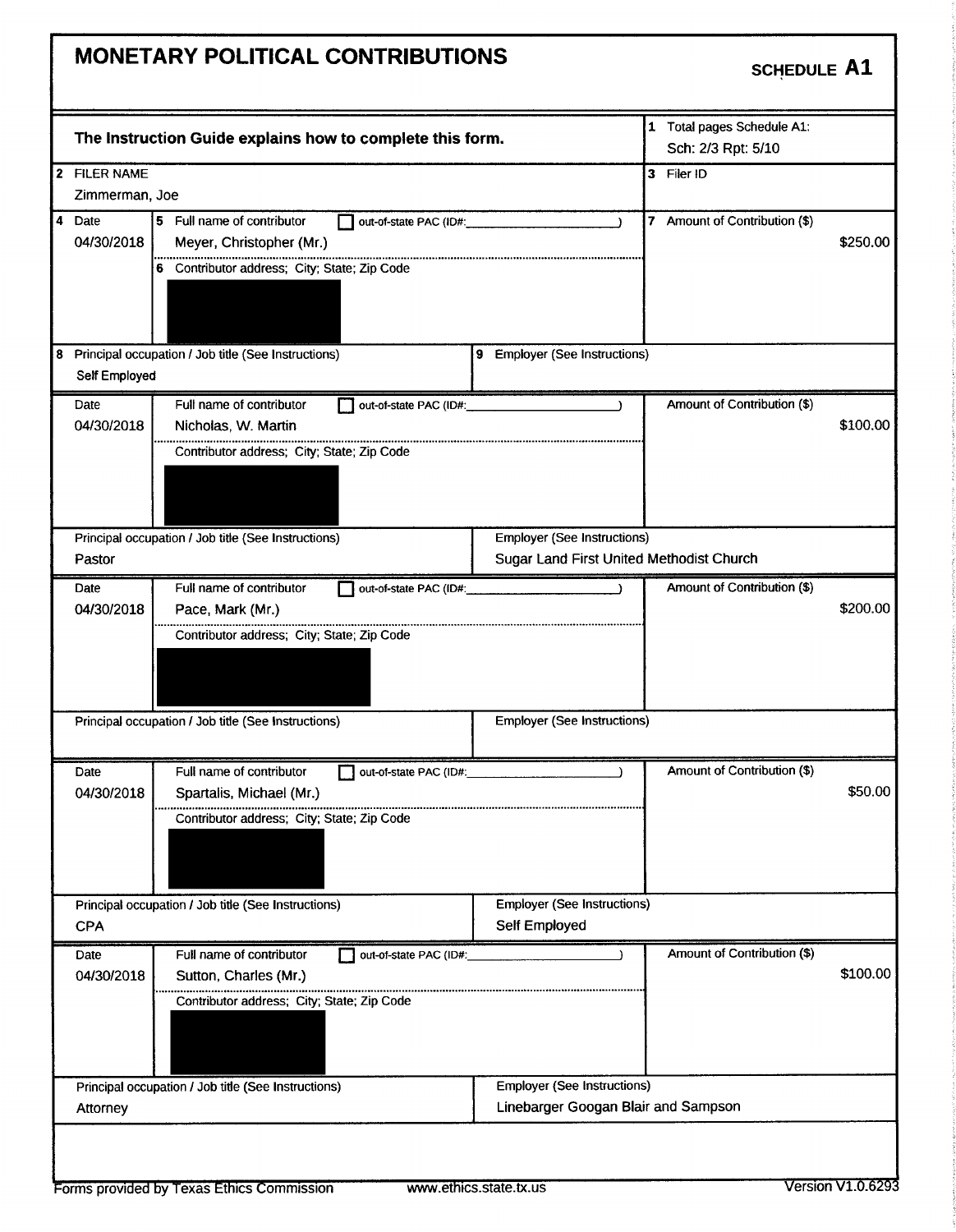## MONETARY POLITICAL CONTRIBUTIONS SCHEDULE A1 <sup>1</sup> Total pages Schedule Al: The Instruction Guide explains how to complete this form. Sch: 2/3 Rpt: 5/10 2 FILER NAME 3 Filer ID Zimmerman, Joe 4 Date  $\begin{bmatrix} 5 & \text{Full name of contributor} \\ 04/30/2018 & \text{Meyer, Christopher (Mr.)} \end{bmatrix}$  out-of-state PAC (ID#: 7 Amount of Contribution (\$) Meyer, Christopher (Mr.) 250.00 6 Contributor address; City; State; Zip Code 8 Principal occupation / Job title (See Instructions) 9 Employer (See Instructions) Self Employed Date Full name of contributor and out-of-state PAC (ID#: Amount of Contribution (\$) 04/30/2018 Nicholas, W. Martin 100.00 and 100.00 and 100.00 and 100.00 and 100.00 and 100.00 and 100.00 and 10 Contributor address; City; State; Zip Code Principal occupation / Job title (See Instructions) Employer (See Instructions) Pastor **Pastor Sugar Land First United Methodist Church** Sugar Land First United Methodist Church Date Full name of contributor  $\Box$  out-of-state PAC (ID#: Amount of Contribution (\$) 04/30/2018 Pace, Mark (Mr.) 200.00 2013 8200.00 Contributor address; City; State; Zip Code Principal occupation / Job title (See Instructions) **Employer (See Instructions)** Employer (See Instructions) Date Full name of contributor out-of-state PAC (ID#: Amount of Contribution (\$)<br>04/30/2018 Spartalis, Michael (Mr.) 04/30/ 2018 Spartalis, Michael( Mr.) 50.00 Contributor address; City; State; Zip Code Principal occupation / Job title (See Instructions) Employer (See Instructions) CPA Self Employed Date Full name of contributor out-of-state PAC (ID#:<br>04/30/2018 Sutton, Charles (Mr.) ) Amount of Contribution (\$) **04/30/30/30/30/30/30/30/2018 Sutton, Charles (Mr.)** 100.00 Contributor address; City; State; Zip Code Principal occupation / Job title (See Instructions) Employer (See Instructions) Attorney **Linebarger Googan Blair and Sampson Linebarger Googan Blair and Sampson**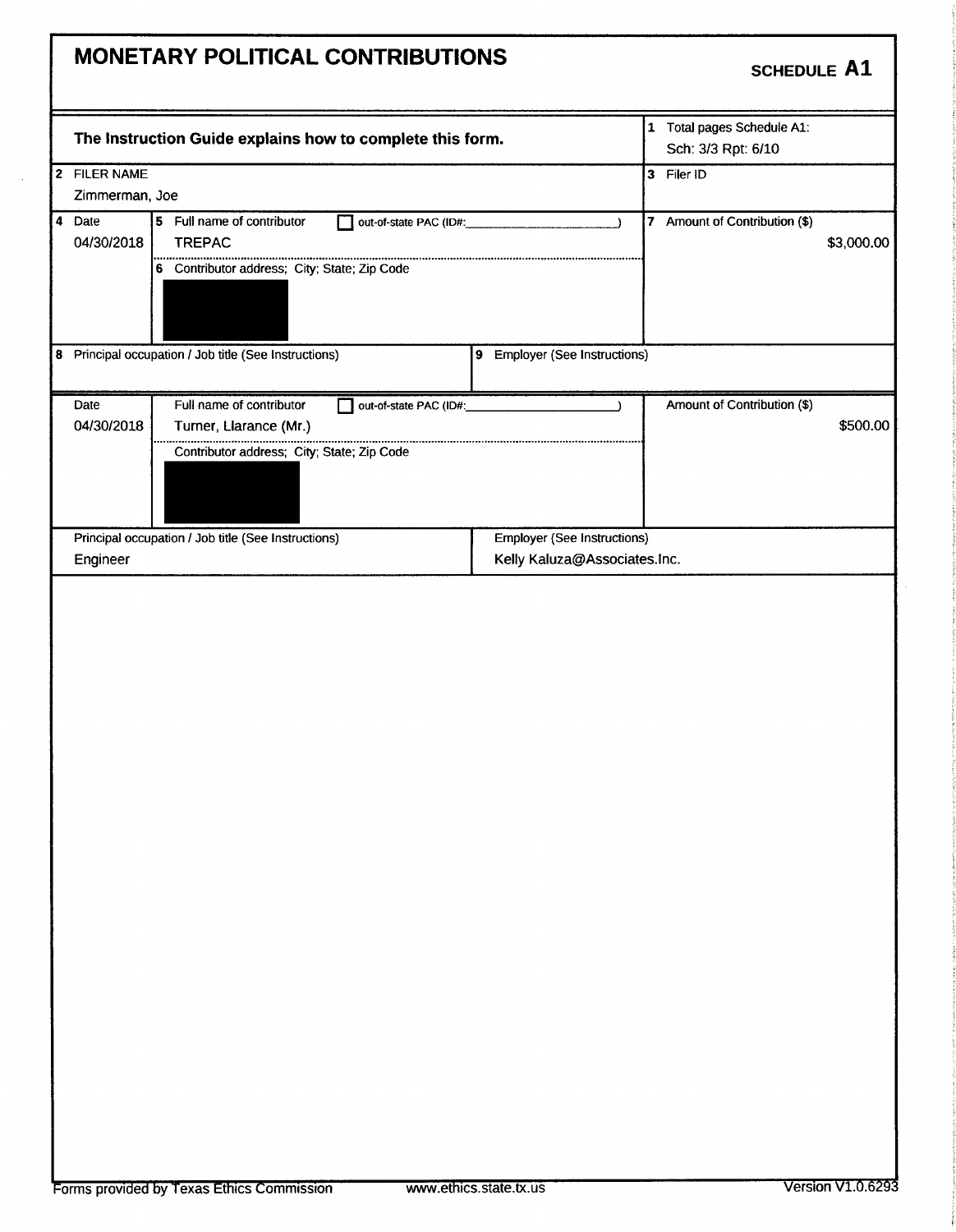| MONETARY POLITICAL CONTRIBUTIONS                                                                                                                 | <b>SCHEDULE A1</b>                                                                 |
|--------------------------------------------------------------------------------------------------------------------------------------------------|------------------------------------------------------------------------------------|
| The Instruction Guide explains how to complete this form.                                                                                        | 1 Total pages Schedule A1:<br>Sch: 3/3 Rpt: 6/10                                   |
| 2 FILER NAME<br>Zimmerman, Joe                                                                                                                   | 3 Filer ID                                                                         |
| 4 Date<br>5 Full name of contributor<br>04/30/2018<br><b>TREPAC</b><br>6 Contributor address; City; State; Zip Code                              | 7 Amount of Contribution (\$)<br>out-of-state PAC (ID#:<br>$\lambda$<br>\$3,000.00 |
| 8 Principal occupation / Job title (See Instructions)                                                                                            | 9 Employer (See Instructions)                                                      |
| Full name of contributor<br>Date<br>out-of-state PAC (ID#:<br>04/30/2018<br>Turner, Llarance (Mr.)<br>Contributor address; City; State; Zip Code | Amount of Contribution (\$)<br>\$500.00                                            |
| Principal occupation / Job title (See Instructions)<br>Engineer                                                                                  | <b>Employer (See Instructions)</b><br>Kelly Kaluza@Associates.Inc.                 |
|                                                                                                                                                  |                                                                                    |

 $\sim$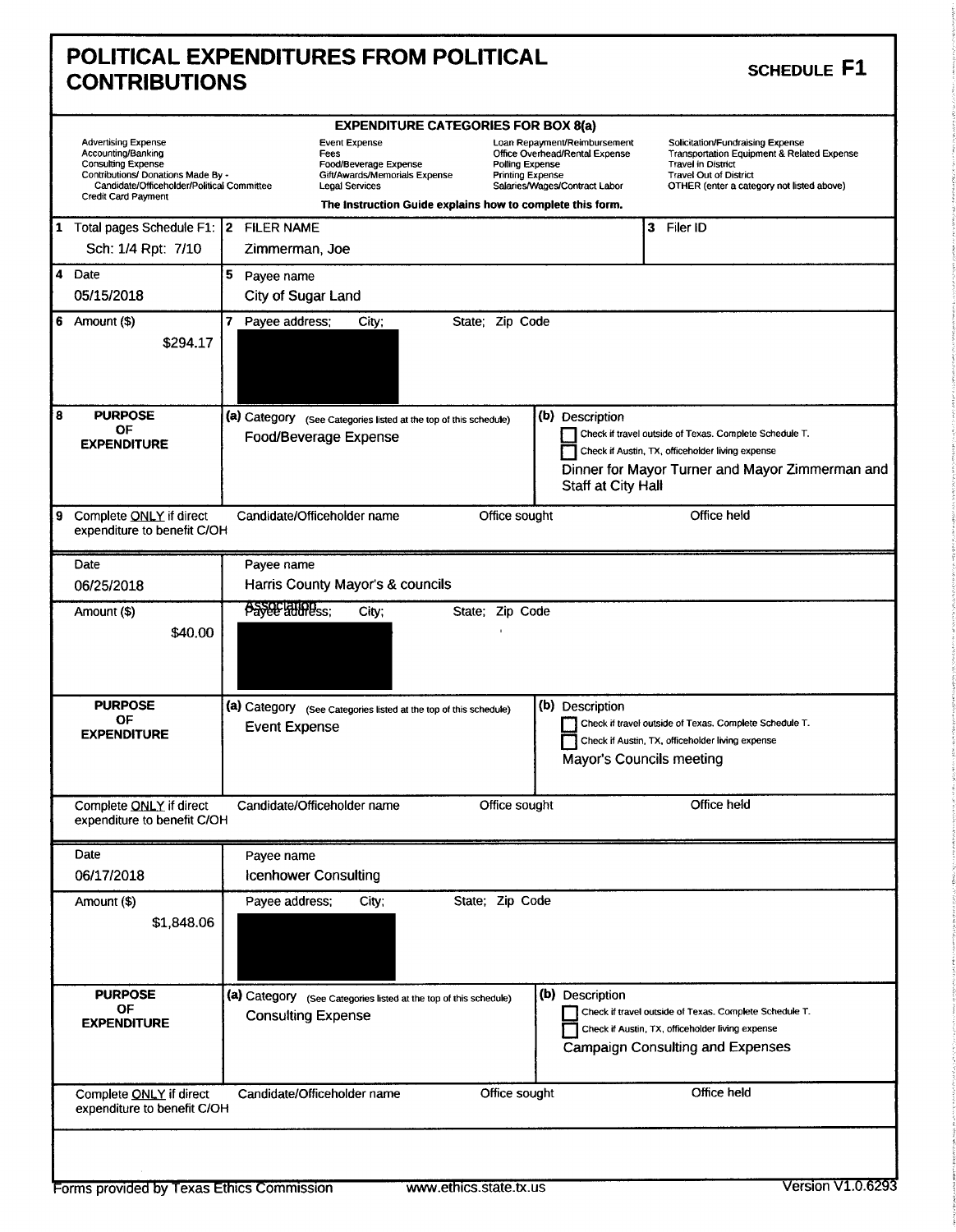|                      | <b>POLITICAL EXPENDITURES FROM POLITICAL</b> |  |
|----------------------|----------------------------------------------|--|
| <b>CONTRIBUTIONS</b> |                                              |  |

| <b>SCHEDULE F1</b> |  |
|--------------------|--|
|                    |  |

|   |                                                                                                                                                                                                 |                                                                                                                                                                              |                                                                                               | <b>EXPENDITURE CATEGORIES FOR BOX 8(a)</b> |                                            |                                                                                                 |                                                                                                                           |                                             |                                                                                                                                                                                           |                                                                                                                                                |
|---|-------------------------------------------------------------------------------------------------------------------------------------------------------------------------------------------------|------------------------------------------------------------------------------------------------------------------------------------------------------------------------------|-----------------------------------------------------------------------------------------------|--------------------------------------------|--------------------------------------------|-------------------------------------------------------------------------------------------------|---------------------------------------------------------------------------------------------------------------------------|---------------------------------------------|-------------------------------------------------------------------------------------------------------------------------------------------------------------------------------------------|------------------------------------------------------------------------------------------------------------------------------------------------|
|   | <b>Advertising Expense</b><br>Accounting/Banking<br><b>Consulting Expense</b><br>Contributions/ Donations Made By -<br>Candidate/Officeholder/Political Committee<br><b>Credit Card Payment</b> | <b>Event Expense</b><br>Fees<br>Food/Beverage Expense<br>Gift/Awards/Memorials Expense<br><b>Legal Services</b><br>The Instruction Guide explains how to complete this form. |                                                                                               |                                            | Polling Expense<br><b>Printing Expense</b> | Loan Repayment/Reimbursement<br>Office Overhead/Rental Expense<br>Salaries/Wages/Contract Labor |                                                                                                                           |                                             | Solicitation/Fundraising Expense<br>Transportation Equipment & Related Expense<br><b>Travel in District</b><br><b>Travel Out of District</b><br>OTHER (enter a category not listed above) |                                                                                                                                                |
|   | 1 Total pages Schedule F1: 2 FILER NAME                                                                                                                                                         |                                                                                                                                                                              |                                                                                               |                                            |                                            |                                                                                                 |                                                                                                                           |                                             |                                                                                                                                                                                           | 3 Filer ID                                                                                                                                     |
|   | Sch: 1/4 Rpt: 7/10                                                                                                                                                                              |                                                                                                                                                                              | Zimmerman, Joe                                                                                |                                            |                                            |                                                                                                 |                                                                                                                           |                                             |                                                                                                                                                                                           |                                                                                                                                                |
|   | 4 Date                                                                                                                                                                                          | 5                                                                                                                                                                            | Payee name                                                                                    |                                            |                                            |                                                                                                 |                                                                                                                           |                                             |                                                                                                                                                                                           |                                                                                                                                                |
|   | 05/15/2018                                                                                                                                                                                      |                                                                                                                                                                              | City of Sugar Land                                                                            |                                            |                                            |                                                                                                 |                                                                                                                           |                                             |                                                                                                                                                                                           |                                                                                                                                                |
| 6 | Amount (\$)<br>\$294.17                                                                                                                                                                         |                                                                                                                                                                              | 7 Payee address;                                                                              | City;                                      |                                            | State; Zip Code                                                                                 |                                                                                                                           |                                             |                                                                                                                                                                                           |                                                                                                                                                |
| 8 | <b>PURPOSE</b><br>ОF                                                                                                                                                                            |                                                                                                                                                                              | (a) Category (See Categories listed at the top of this schedule)                              |                                            |                                            |                                                                                                 |                                                                                                                           | (b) Description                             |                                                                                                                                                                                           |                                                                                                                                                |
|   | <b>EXPENDITURE</b>                                                                                                                                                                              |                                                                                                                                                                              | Food/Beverage Expense                                                                         |                                            |                                            |                                                                                                 |                                                                                                                           |                                             |                                                                                                                                                                                           | Check if travel outside of Texas. Complete Schedule T.                                                                                         |
|   |                                                                                                                                                                                                 |                                                                                                                                                                              |                                                                                               |                                            |                                            |                                                                                                 | Check if Austin, TX, officeholder living expense<br>Dinner for Mayor Turner and Mayor Zimmerman and<br>Staff at City Hall |                                             |                                                                                                                                                                                           |                                                                                                                                                |
| 9 | Complete ONLY if direct<br>expenditure to benefit C/OH                                                                                                                                          |                                                                                                                                                                              | Candidate/Officeholder name                                                                   |                                            |                                            | Office sought                                                                                   |                                                                                                                           |                                             |                                                                                                                                                                                           | Office held                                                                                                                                    |
|   | Date                                                                                                                                                                                            |                                                                                                                                                                              | Payee name                                                                                    |                                            |                                            |                                                                                                 |                                                                                                                           |                                             |                                                                                                                                                                                           |                                                                                                                                                |
|   | 06/25/2018                                                                                                                                                                                      |                                                                                                                                                                              | Harris County Mayor's & councils                                                              |                                            |                                            |                                                                                                 |                                                                                                                           |                                             |                                                                                                                                                                                           |                                                                                                                                                |
|   | Amount (\$)                                                                                                                                                                                     |                                                                                                                                                                              | <b>Payee alliness;</b>                                                                        | City;                                      |                                            | State; Zip Code                                                                                 |                                                                                                                           |                                             |                                                                                                                                                                                           |                                                                                                                                                |
|   | \$40.00                                                                                                                                                                                         |                                                                                                                                                                              |                                                                                               |                                            |                                            |                                                                                                 |                                                                                                                           |                                             |                                                                                                                                                                                           |                                                                                                                                                |
|   | <b>PURPOSE</b><br>ОF<br><b>EXPENDITURE</b>                                                                                                                                                      |                                                                                                                                                                              | (a) Category (See Categories listed at the top of this schedule)<br><b>Event Expense</b>      |                                            |                                            |                                                                                                 |                                                                                                                           | (b) Description<br>Mayor's Councils meeting |                                                                                                                                                                                           | Check if travel outside of Texas. Complete Schedule T.<br>Check if Austin, TX, officeholder living expense                                     |
|   | Complete ONLY if direct<br>expenditure to benefit C/OH                                                                                                                                          |                                                                                                                                                                              | Candidate/Officeholder name                                                                   |                                            |                                            | Office sought                                                                                   |                                                                                                                           |                                             |                                                                                                                                                                                           | Office held                                                                                                                                    |
|   | Date                                                                                                                                                                                            |                                                                                                                                                                              | Payee name                                                                                    |                                            |                                            |                                                                                                 |                                                                                                                           |                                             |                                                                                                                                                                                           |                                                                                                                                                |
|   | 06/17/2018                                                                                                                                                                                      |                                                                                                                                                                              | <b>Icenhower Consulting</b>                                                                   |                                            |                                            |                                                                                                 |                                                                                                                           |                                             |                                                                                                                                                                                           |                                                                                                                                                |
|   | Amount (\$)<br>\$1,848.06                                                                                                                                                                       |                                                                                                                                                                              | Payee address;                                                                                | City;                                      |                                            | State; Zip Code                                                                                 |                                                                                                                           |                                             |                                                                                                                                                                                           |                                                                                                                                                |
|   | <b>PURPOSE</b><br><b>OF</b><br><b>EXPENDITURE</b>                                                                                                                                               |                                                                                                                                                                              | (a) Category (See Categories listed at the top of this schedule)<br><b>Consulting Expense</b> |                                            |                                            |                                                                                                 |                                                                                                                           | (b) Description                             |                                                                                                                                                                                           | Check if travel outside of Texas. Complete Schedule T.<br>Check if Austin, TX, officeholder living expense<br>Campaign Consulting and Expenses |
|   | Complete ONLY if direct<br>expenditure to benefit C/OH                                                                                                                                          |                                                                                                                                                                              | Candidate/Officeholder name                                                                   |                                            |                                            | Office sought                                                                                   |                                                                                                                           |                                             |                                                                                                                                                                                           | Office held                                                                                                                                    |
|   |                                                                                                                                                                                                 |                                                                                                                                                                              |                                                                                               |                                            |                                            |                                                                                                 |                                                                                                                           |                                             |                                                                                                                                                                                           |                                                                                                                                                |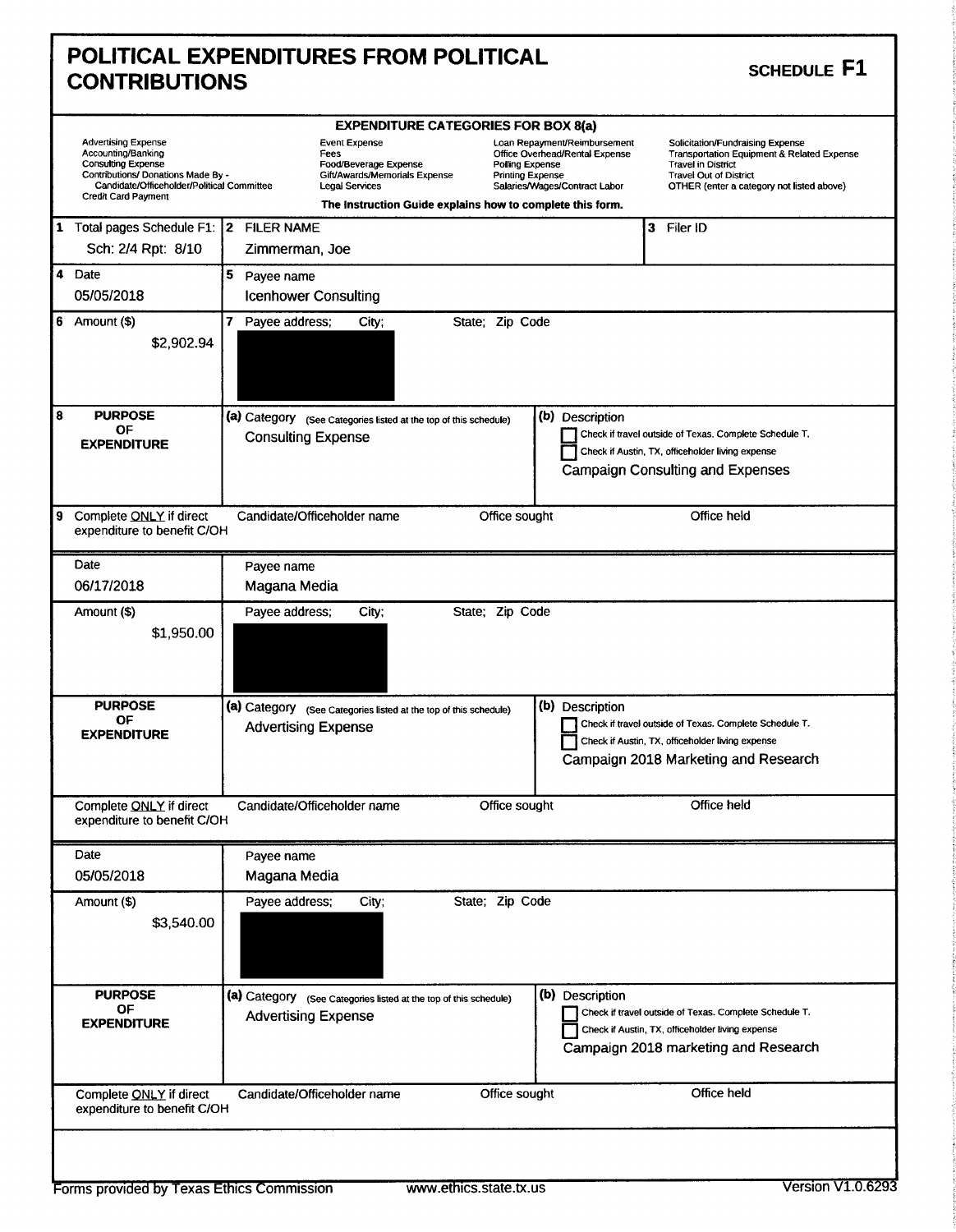|                      | POLITICAL EXPENDITURES FROM POLITICAL |  |
|----------------------|---------------------------------------|--|
| <b>CONTRIBUTIONS</b> |                                       |  |

| <b>SCHEDULE F1</b> |  |
|--------------------|--|
|--------------------|--|

|   | <b>Advertising Expense</b><br>Accounting/Banking<br><b>Consulting Expense</b><br>Contributions/ Donations Made By -<br>Candidate/Officeholder/Political Committee<br><b>Credit Card Payment</b> | <b>EXPENDITURE CATEGORIES FOR BOX 8(a)</b><br><b>Event Expense</b><br>Loan Repayment/Reimbursement<br>Solicitation/Fundraising Expense<br>Office Overhead/Rental Expense<br>Fees<br><b>Transportation Equipment &amp; Related Expense</b><br>Polling Expense<br>Food/Beverage Expense<br><b>Travel in District</b><br>Gift/Awards/Memorials Expense<br><b>Travel Out of District</b><br><b>Printing Expense</b><br>Legal Services<br>Salaries/Wages/Contract Labor<br>OTHER (enter a category not listed above)<br>The Instruction Guide explains how to complete this form. |  |  |  |  |  |
|---|-------------------------------------------------------------------------------------------------------------------------------------------------------------------------------------------------|------------------------------------------------------------------------------------------------------------------------------------------------------------------------------------------------------------------------------------------------------------------------------------------------------------------------------------------------------------------------------------------------------------------------------------------------------------------------------------------------------------------------------------------------------------------------------|--|--|--|--|--|
|   | 1 Total pages Schedule F1: 2 FILER NAME                                                                                                                                                         | 3 Filer ID                                                                                                                                                                                                                                                                                                                                                                                                                                                                                                                                                                   |  |  |  |  |  |
|   | Sch: 2/4 Rpt: 8/10                                                                                                                                                                              | Zimmerman, Joe                                                                                                                                                                                                                                                                                                                                                                                                                                                                                                                                                               |  |  |  |  |  |
|   | 4 Date                                                                                                                                                                                          | 5 Payee name                                                                                                                                                                                                                                                                                                                                                                                                                                                                                                                                                                 |  |  |  |  |  |
|   | 05/05/2018                                                                                                                                                                                      | <b>Icenhower Consulting</b>                                                                                                                                                                                                                                                                                                                                                                                                                                                                                                                                                  |  |  |  |  |  |
|   | $6$ Amount $(\$)$<br>\$2,902.94                                                                                                                                                                 | 7 Payee address;<br>State; Zip Code<br>City;                                                                                                                                                                                                                                                                                                                                                                                                                                                                                                                                 |  |  |  |  |  |
| 8 | <b>PURPOSE</b><br>OF<br><b>EXPENDITURE</b>                                                                                                                                                      | (a) Category (See Categories listed at the top of this schedule)<br>(b) Description<br>Check if travel outside of Texas. Complete Schedule T.<br><b>Consulting Expense</b><br>Check if Austin, TX, officeholder living expense<br><b>Campaign Consulting and Expenses</b>                                                                                                                                                                                                                                                                                                    |  |  |  |  |  |
| 9 | Complete ONLY if direct<br>expenditure to benefit C/OH                                                                                                                                          | Candidate/Officeholder name<br>Office held<br>Office sought                                                                                                                                                                                                                                                                                                                                                                                                                                                                                                                  |  |  |  |  |  |
|   | Date                                                                                                                                                                                            | Payee name                                                                                                                                                                                                                                                                                                                                                                                                                                                                                                                                                                   |  |  |  |  |  |
|   | 06/17/2018                                                                                                                                                                                      | Magana Media                                                                                                                                                                                                                                                                                                                                                                                                                                                                                                                                                                 |  |  |  |  |  |
|   | Amount (\$)<br>\$1,950.00                                                                                                                                                                       | Payee address;<br>State; Zip Code<br>City;                                                                                                                                                                                                                                                                                                                                                                                                                                                                                                                                   |  |  |  |  |  |
|   | <b>PURPOSE</b><br>ΟF<br><b>EXPENDITURE</b>                                                                                                                                                      | (b) Description<br>(a) Category (See Categories listed at the top of this schedule)<br>Check if travel outside of Texas. Complete Schedule T.<br><b>Advertising Expense</b><br>Check if Austin, TX, officeholder living expense<br>Campaign 2018 Marketing and Research                                                                                                                                                                                                                                                                                                      |  |  |  |  |  |
|   | Complete ONLY if direct<br>expenditure to benefit C/OH                                                                                                                                          | Candidate/Officeholder name<br>Office sought<br>Office held                                                                                                                                                                                                                                                                                                                                                                                                                                                                                                                  |  |  |  |  |  |
|   | Date                                                                                                                                                                                            | Payee name                                                                                                                                                                                                                                                                                                                                                                                                                                                                                                                                                                   |  |  |  |  |  |
|   | 05/05/2018                                                                                                                                                                                      | Magana Media                                                                                                                                                                                                                                                                                                                                                                                                                                                                                                                                                                 |  |  |  |  |  |
|   | Amount (\$)<br>\$3,540.00                                                                                                                                                                       | State; Zip Code<br>Payee address:<br>City;                                                                                                                                                                                                                                                                                                                                                                                                                                                                                                                                   |  |  |  |  |  |
|   | <b>PURPOSE</b><br>OF<br><b>EXPENDITURE</b>                                                                                                                                                      | (b) Description<br>(a) Category (See Categories listed at the top of this schedule)<br>Check if travel outside of Texas. Complete Schedule T.<br><b>Advertising Expense</b><br>Check if Austin, TX, officeholder living expense<br>Campaign 2018 marketing and Research                                                                                                                                                                                                                                                                                                      |  |  |  |  |  |
|   | Complete ONLY if direct<br>expenditure to benefit C/OH                                                                                                                                          | Office held<br>Office sought<br>Candidate/Officeholder name                                                                                                                                                                                                                                                                                                                                                                                                                                                                                                                  |  |  |  |  |  |
|   |                                                                                                                                                                                                 |                                                                                                                                                                                                                                                                                                                                                                                                                                                                                                                                                                              |  |  |  |  |  |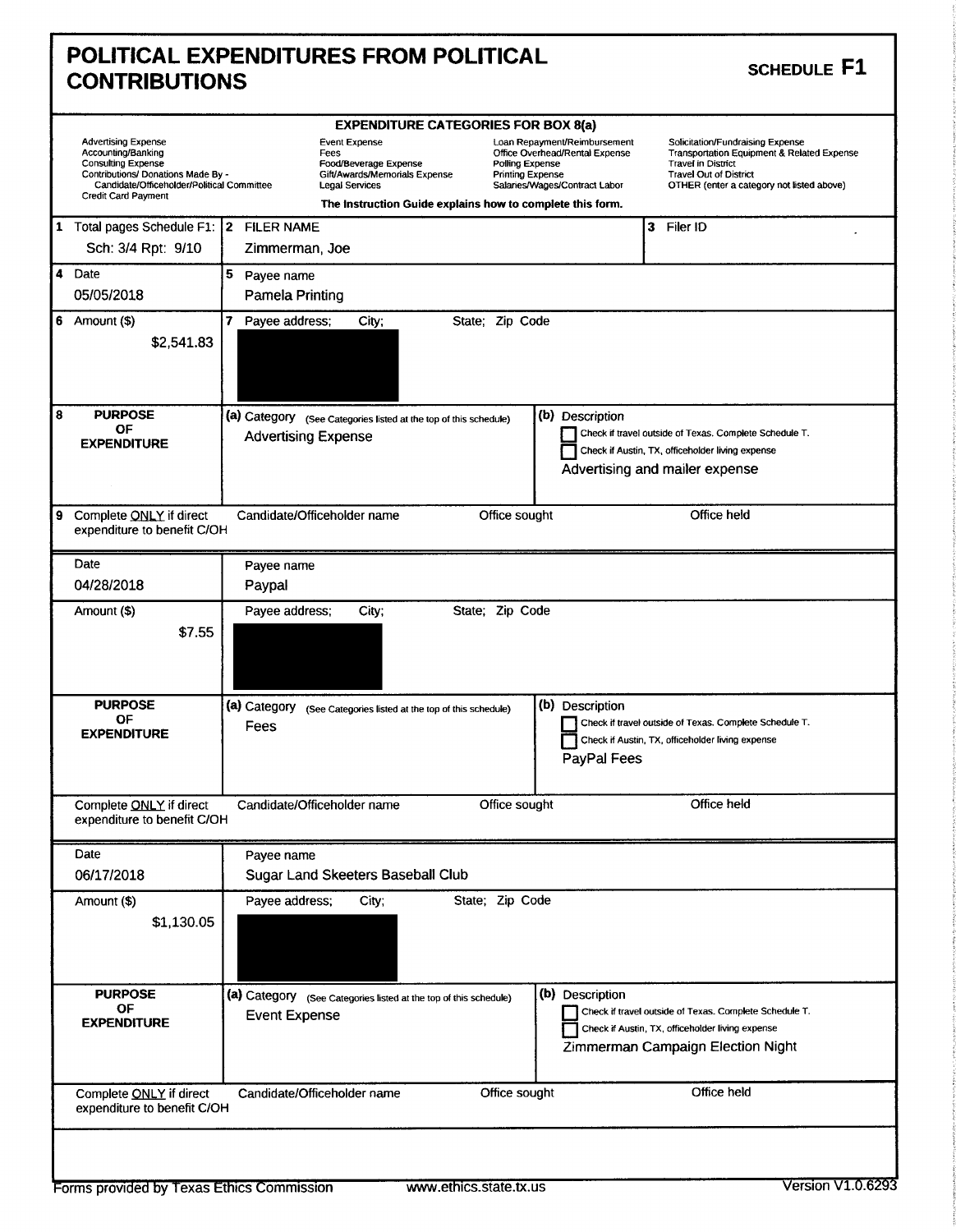|                      | <b>POLITICAL EXPENDITURES FROM POLITICAL</b> |  |
|----------------------|----------------------------------------------|--|
| <b>CONTRIBUTIONS</b> |                                              |  |

|   |                                                                                                                                                                                                 |                      |                             | <b>EXPENDITURE CATEGORIES FOR BOX 8(a)</b>                                                                                                                    |                                            |                                                                                                 |   |                                                                                                                                                                                           |
|---|-------------------------------------------------------------------------------------------------------------------------------------------------------------------------------------------------|----------------------|-----------------------------|---------------------------------------------------------------------------------------------------------------------------------------------------------------|--------------------------------------------|-------------------------------------------------------------------------------------------------|---|-------------------------------------------------------------------------------------------------------------------------------------------------------------------------------------------|
|   | <b>Advertising Expense</b><br>Accounting/Banking<br><b>Consulting Expense</b><br>Contributions/ Donations Made By -<br>Candidate/Officeholder/Political Committee<br><b>Credit Card Payment</b> |                      | Fees                        | <b>Event Expense</b><br>Food/Beverage Expense<br>Gift/Awards/Memorials Expense<br>Legal Services<br>The Instruction Guide explains how to complete this form. | Polling Expense<br><b>Printing Expense</b> | Loan Repayment/Reimbursement<br>Office Overhead/Rental Expense<br>Salaries/Wages/Contract Labor |   | Solicitation/Fundraising Expense<br>Transportation Equipment & Related Expense<br><b>Travel in District</b><br><b>Travel Out of District</b><br>OTHER (enter a category not listed above) |
|   |                                                                                                                                                                                                 |                      |                             |                                                                                                                                                               |                                            |                                                                                                 |   |                                                                                                                                                                                           |
|   | 1 Total pages Schedule F1: 2 FILER NAME<br>Sch: 3/4 Rpt: 9/10                                                                                                                                   |                      | Zimmerman, Joe              |                                                                                                                                                               |                                            |                                                                                                 | 3 | Filer ID                                                                                                                                                                                  |
|   | 4 Date                                                                                                                                                                                          | 5 Payee name         |                             |                                                                                                                                                               |                                            |                                                                                                 |   |                                                                                                                                                                                           |
|   | 05/05/2018                                                                                                                                                                                      |                      | Pamela Printing             |                                                                                                                                                               |                                            |                                                                                                 |   |                                                                                                                                                                                           |
|   | 6 Amount $(\$)$                                                                                                                                                                                 |                      | 7 Payee address;            | City;                                                                                                                                                         | State; Zip Code                            |                                                                                                 |   |                                                                                                                                                                                           |
|   | \$2,541.83                                                                                                                                                                                      |                      |                             |                                                                                                                                                               |                                            |                                                                                                 |   |                                                                                                                                                                                           |
| 8 | <b>PURPOSE</b><br>ОF                                                                                                                                                                            |                      |                             | (a) Category (See Categories listed at the top of this schedule)                                                                                              |                                            | (b) Description                                                                                 |   |                                                                                                                                                                                           |
|   | <b>EXPENDITURE</b>                                                                                                                                                                              |                      | <b>Advertising Expense</b>  |                                                                                                                                                               |                                            |                                                                                                 |   | Check if travel outside of Texas. Complete Schedule T.                                                                                                                                    |
|   |                                                                                                                                                                                                 |                      |                             |                                                                                                                                                               |                                            |                                                                                                 |   | Check if Austin, TX, officeholder living expense<br>Advertising and mailer expense                                                                                                        |
|   |                                                                                                                                                                                                 |                      |                             |                                                                                                                                                               |                                            |                                                                                                 |   |                                                                                                                                                                                           |
|   |                                                                                                                                                                                                 |                      |                             |                                                                                                                                                               |                                            |                                                                                                 |   | Office held                                                                                                                                                                               |
| 9 | Complete ONLY if direct<br>expenditure to benefit C/OH                                                                                                                                          |                      | Candidate/Officeholder name |                                                                                                                                                               | Office sought                              |                                                                                                 |   |                                                                                                                                                                                           |
|   | Date                                                                                                                                                                                            |                      | Payee name                  |                                                                                                                                                               |                                            |                                                                                                 |   |                                                                                                                                                                                           |
|   | 04/28/2018                                                                                                                                                                                      | Paypal               |                             |                                                                                                                                                               |                                            |                                                                                                 |   |                                                                                                                                                                                           |
|   | Amount (\$)                                                                                                                                                                                     |                      | Payee address;              | City;                                                                                                                                                         | State; Zip Code                            |                                                                                                 |   |                                                                                                                                                                                           |
|   | \$7.55                                                                                                                                                                                          |                      |                             |                                                                                                                                                               |                                            |                                                                                                 |   |                                                                                                                                                                                           |
|   | <b>PURPOSE</b><br>OF<br><b>EXPENDITURE</b>                                                                                                                                                      | (a) Category<br>Fees |                             | (See Categories listed at the top of this schedule)                                                                                                           |                                            | (b) Description<br>PayPal Fees                                                                  |   | Check if travel outside of Texas. Complete Schedule T.<br>Check if Austin, TX, officeholder living expense                                                                                |
|   | Complete ONLY if direct<br>expenditure to benefit C/OH                                                                                                                                          |                      | Candidate/Officeholder name |                                                                                                                                                               | Office sought                              |                                                                                                 |   | Office held                                                                                                                                                                               |
|   | Date                                                                                                                                                                                            |                      | Payee name                  |                                                                                                                                                               |                                            |                                                                                                 |   |                                                                                                                                                                                           |
|   | 06/17/2018                                                                                                                                                                                      |                      |                             | Sugar Land Skeeters Baseball Club                                                                                                                             |                                            |                                                                                                 |   |                                                                                                                                                                                           |
|   | Amount (\$)                                                                                                                                                                                     |                      | Payee address;              | City;                                                                                                                                                         | State; Zip Code                            |                                                                                                 |   |                                                                                                                                                                                           |
|   | \$1,130.05                                                                                                                                                                                      |                      |                             |                                                                                                                                                               |                                            |                                                                                                 |   |                                                                                                                                                                                           |
|   | <b>PURPOSE</b><br><b>OF</b><br><b>EXPENDITURE</b>                                                                                                                                               |                      | <b>Event Expense</b>        | (a) Category (See Categories listed at the top of this schedule)                                                                                              |                                            | (b) Description                                                                                 |   | Check if travel outside of Texas. Complete Schedule T.<br>Check if Austin, TX, officeholder living expense<br>Zimmerman Campaign Election Night                                           |
|   | Complete ONLY if direct<br>expenditure to benefit C/OH                                                                                                                                          |                      | Candidate/Officeholder name |                                                                                                                                                               | Office sought                              |                                                                                                 |   | Office held                                                                                                                                                                               |
|   |                                                                                                                                                                                                 |                      |                             |                                                                                                                                                               |                                            |                                                                                                 |   |                                                                                                                                                                                           |